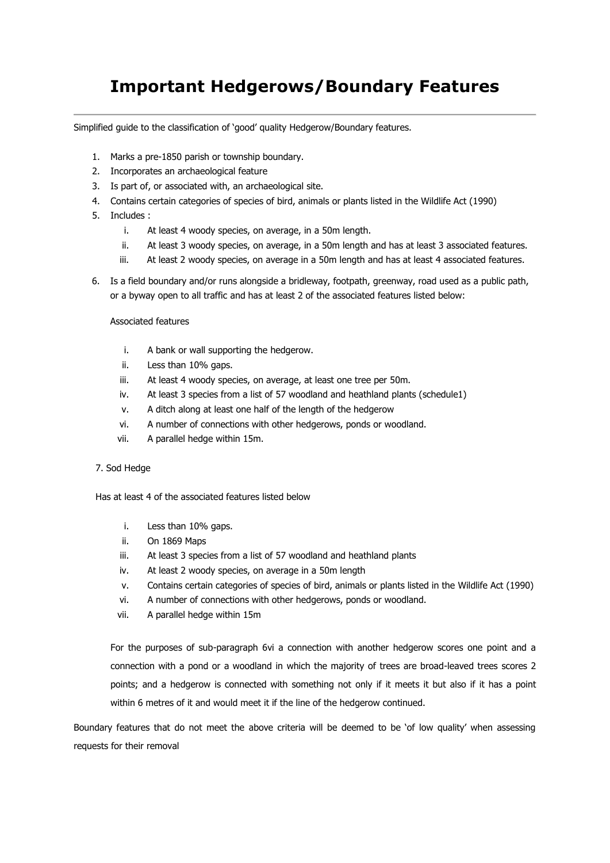# **Important Hedgerows/Boundary Features**

Simplified guide to the classification of 'good' quality Hedgerow/Boundary features.

- 1. Marks a pre-1850 parish or township boundary.
- 2. Incorporates an archaeological feature
- 3. Is part of, or associated with, an archaeological site.
- 4. Contains certain categories of species of bird, animals or plants listed in the Wildlife Act (1990)
- 5. Includes :
	- i. At least 4 woody species, on average, in a 50m length.
	- ii. At least 3 woody species, on average, in a 50m length and has at least 3 associated features.
	- iii. At least 2 woody species, on average in a 50m length and has at least 4 associated features.
- 6. Is a field boundary and/or runs alongside a bridleway, footpath, greenway, road used as a public path, or a byway open to all traffic and has at least 2 of the associated features listed below:

#### Associated features

- i. A bank or wall supporting the hedgerow.
- ii. Less than 10% gaps.
- iii. At least 4 woody species, on average, at least one tree per 50m.
- iv. At least 3 species from a list of 57 woodland and heathland plants (schedule1)
- v. A ditch along at least one half of the length of the hedgerow
- vi. A number of connections with other hedgerows, ponds or woodland.
- vii. A parallel hedge within 15m.

#### 7. Sod Hedge

Has at least 4 of the associated features listed below

- i. Less than 10% gaps.
- ii. On 1869 Maps
- iii. At least 3 species from a list of 57 woodland and heathland plants
- iv. At least 2 woody species, on average in a 50m length
- v. Contains certain categories of species of bird, animals or plants listed in the Wildlife Act (1990)
- vi. A number of connections with other hedgerows, ponds or woodland.
- vii. A parallel hedge within 15m

For the purposes of sub-paragraph 6vi a connection with another hedgerow scores one point and a connection with a pond or a woodland in which the majority of trees are broad-leaved trees scores 2 points; and a hedgerow is connected with something not only if it meets it but also if it has a point within 6 metres of it and would meet it if the line of the hedgerow continued.

Boundary features that do not meet the above criteria will be deemed to be 'of low quality' when assessing requests for their removal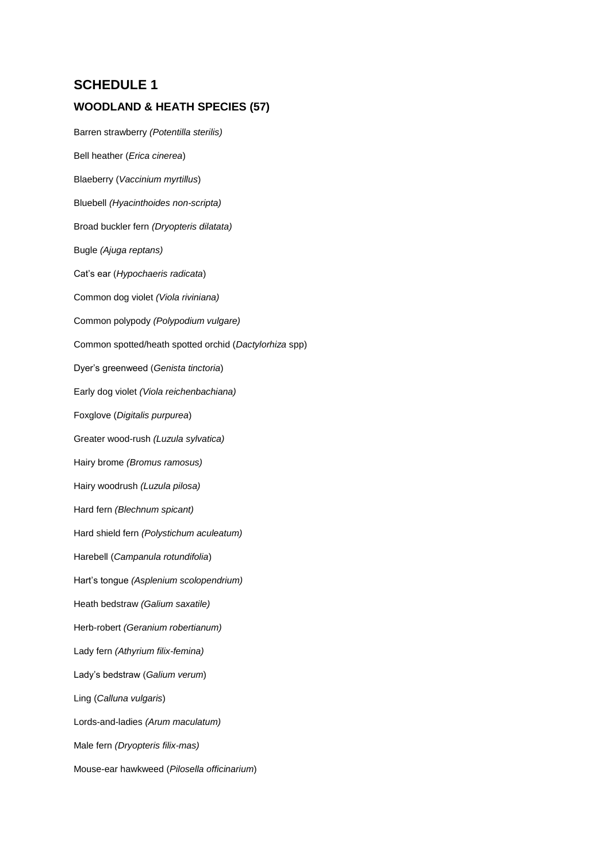## **SCHEDULE 1**

### **WOODLAND & HEATH SPECIES (57)**

Barren strawberry *(Potentilla sterilis)* Bell heather (*Erica cinerea*) Blaeberry (*Vaccinium myrtillus*) Bluebell *(Hyacinthoides non-scripta)* Broad buckler fern *(Dryopteris dilatata)* Bugle *(Ajuga reptans)* Cat's ear (*Hypochaeris radicata*) Common dog violet *(Viola riviniana)* Common polypody *(Polypodium vulgare)* Common spotted/heath spotted orchid (*Dactylorhiza* spp) Dyer's greenweed (*Genista tinctoria*) Early dog violet *(Viola reichenbachiana)* Foxglove (*Digitalis purpurea*) Greater wood-rush *(Luzula sylvatica)* Hairy brome *(Bromus ramosus)* Hairy woodrush *(Luzula pilosa)* Hard fern *(Blechnum spicant)* Hard shield fern *(Polystichum aculeatum)* Harebell (*Campanula rotundifolia*) Hart's tongue *(Asplenium scolopendrium)* Heath bedstraw *(Galium saxatile)* Herb-robert *(Geranium robertianum)* Lady fern *(Athyrium filix-femina)* Lady's bedstraw (*Galium verum*) Ling (*Calluna vulgaris*) Lords-and-ladies *(Arum maculatum)* Male fern *(Dryopteris filix-mas)* Mouse-ear hawkweed (*Pilosella officinarium*)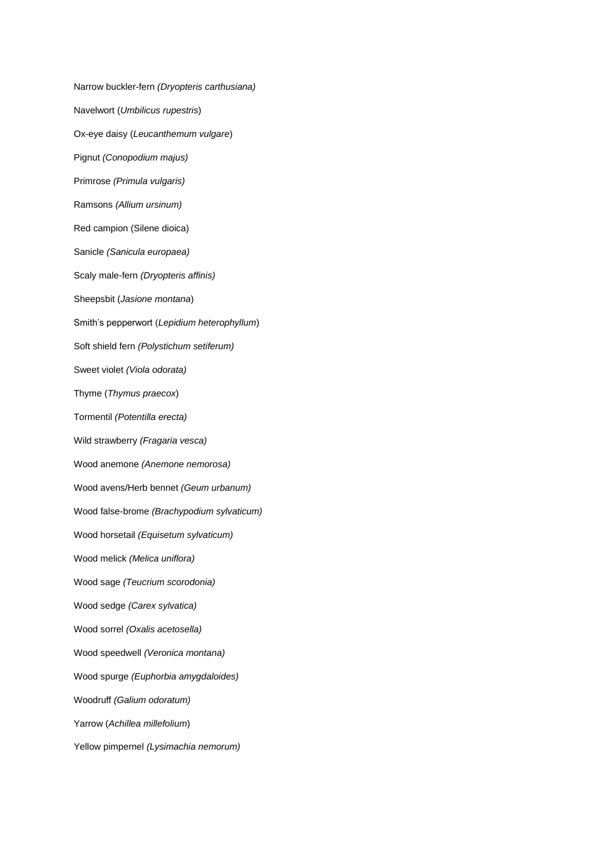Narrow buckler-fern *(Dryopteris carthusiana)* Navelwort (*Umbilicus rupestris*) Ox-eye daisy (*Leucanthemum vulgare*) Pignut *(Conopodium majus)* Primrose *(Primula vulgaris)* Ramsons *(Allium ursinum)* Red campion (Silene dioica) Sanicle *(Sanicula europaea)* Scaly male-fern *(Dryopteris affinis)* Sheepsbit (*Jasione montana*) Smith's pepperwort (*Lepidium heterophyllum*) Soft shield fern *(Polystichum setiferum)* Sweet violet *(Viola odorata)* Thyme (*Thymus praecox*) Tormentil *(Potentilla erecta)* Wild strawberry *(Fragaria vesca)* Wood anemone *(Anemone nemorosa)* Wood avens/Herb bennet *(Geum urbanum)* Wood false-brome *(Brachypodium sylvaticum)* Wood horsetail *(Equisetum sylvaticum)* Wood melick *(Melica uniflora)* Wood sage *(Teucrium scorodonia)* Wood sedge *(Carex sylvatica)* Wood sorrel *(Oxalis acetosella)* Wood speedwell *(Veronica montana)* Wood spurge *(Euphorbia amygdaloides)* Woodruff *(Galium odoratum)* Yarrow (*Achillea millefolium*) Yellow pimpernel *(Lysimachia nemorum)*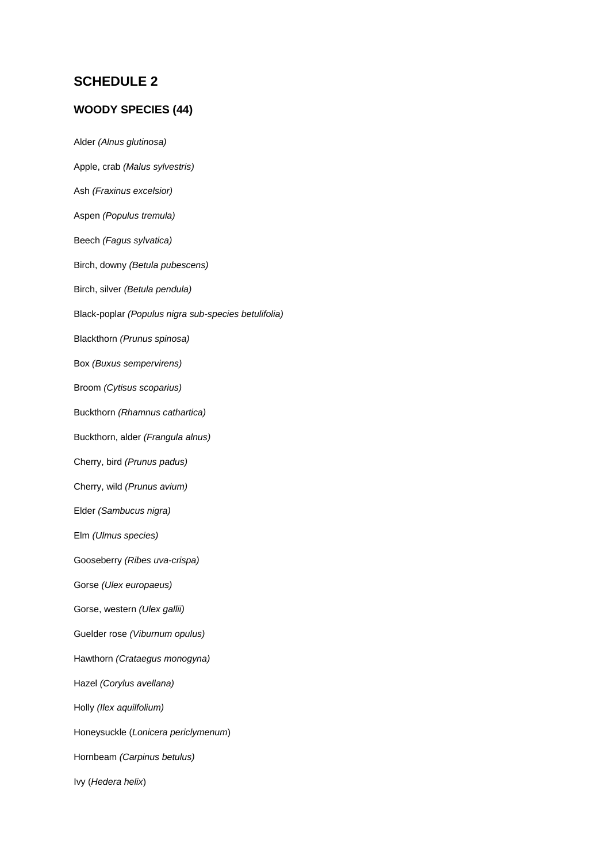## **SCHEDULE 2**

### **WOODY SPECIES (44)**

Alder *(Alnus glutinosa)* Apple, crab *(Malus sylvestris)* Ash *(Fraxinus excelsior)* Aspen *(Populus tremula)* Beech *(Fagus sylvatica)* Birch, downy *(Betula pubescens)* Birch, silver *(Betula pendula)* Black-poplar *(Populus nigra sub-species betulifolia)* Blackthorn *(Prunus spinosa)* Box *(Buxus sempervirens)* Broom *(Cytisus scoparius)* Buckthorn *(Rhamnus cathartica)* Buckthorn, alder *(Frangula alnus)* Cherry, bird *(Prunus padus)* Cherry, wild *(Prunus avium)* Elder *(Sambucus nigra)* Elm *(Ulmus species)* Gooseberry *(Ribes uva-crispa)* Gorse *(Ulex europaeus)* Gorse, western *(Ulex gallii)* Guelder rose *(Viburnum opulus)* Hawthorn *(Crataegus monogyna)* Hazel *(Corylus avellana)* Holly *(Ilex aquilfolium)* Honeysuckle (*Lonicera periclymenum*) Hornbeam *(Carpinus betulus)* Ivy (*Hedera helix*)